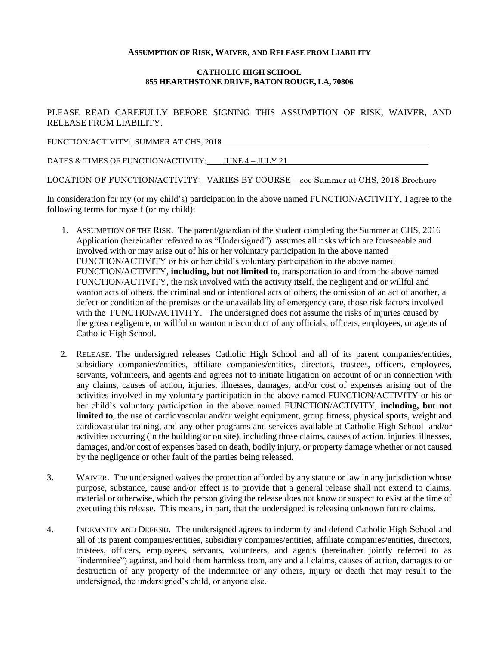## **ASSUMPTION OF RISK, WAIVER, AND RELEASE FROM LIABILITY**

## **CATHOLIC HIGH SCHOOL 855 HEARTHSTONE DRIVE, BATON ROUGE, LA, 70806**

PLEASE READ CAREFULLY BEFORE SIGNING THIS ASSUMPTION OF RISK, WAIVER, AND RELEASE FROM LIABILITY.

FUNCTION/ACTIVITY: SUMMER AT CHS, 2018

DATES & TIMES OF FUNCTION/ACTIVITY: JUNE 4 – JULY 21

LOCATION OF FUNCTION/ACTIVITY: VARIES BY COURSE – see Summer at CHS, 2018 Brochure

In consideration for my (or my child's) participation in the above named FUNCTION/ACTIVITY, I agree to the following terms for myself (or my child):

- 1. ASSUMPTION OF THE RISK. The parent/guardian of the student completing the Summer at CHS, 2016 Application (hereinafter referred to as "Undersigned") assumes all risks which are foreseeable and involved with or may arise out of his or her voluntary participation in the above named FUNCTION/ACTIVITY or his or her child's voluntary participation in the above named FUNCTION/ACTIVITY, **including, but not limited to**, transportation to and from the above named FUNCTION/ACTIVITY, the risk involved with the activity itself, the negligent and or willful and wanton acts of others, the criminal and or intentional acts of others, the omission of an act of another, a defect or condition of the premises or the unavailability of emergency care, those risk factors involved with the FUNCTION/ACTIVITY. The undersigned does not assume the risks of injuries caused by the gross negligence, or willful or wanton misconduct of any officials, officers, employees, or agents of Catholic High School.
- 2. RELEASE. The undersigned releases Catholic High School and all of its parent companies/entities, subsidiary companies/entities, affiliate companies/entities, directors, trustees, officers, employees, servants, volunteers, and agents and agrees not to initiate litigation on account of or in connection with any claims, causes of action, injuries, illnesses, damages, and/or cost of expenses arising out of the activities involved in my voluntary participation in the above named FUNCTION/ACTIVITY or his or her child's voluntary participation in the above named FUNCTION/ACTIVITY, **including, but not limited to**, the use of cardiovascular and/or weight equipment, group fitness, physical sports, weight and cardiovascular training, and any other programs and services available at Catholic High School and/or activities occurring (in the building or on site), including those claims, causes of action, injuries, illnesses, damages, and/or cost of expenses based on death, bodily injury, or property damage whether or not caused by the negligence or other fault of the parties being released.
- 3. WAIVER. The undersigned waives the protection afforded by any statute or law in any jurisdiction whose purpose, substance, cause and/or effect is to provide that a general release shall not extend to claims, material or otherwise, which the person giving the release does not know or suspect to exist at the time of executing this release. This means, in part, that the undersigned is releasing unknown future claims.
- 4. INDEMNITY AND DEFEND. The undersigned agrees to indemnify and defend Catholic High School and all of its parent companies/entities, subsidiary companies/entities, affiliate companies/entities, directors, trustees, officers, employees, servants, volunteers, and agents (hereinafter jointly referred to as "indemnitee") against, and hold them harmless from, any and all claims, causes of action, damages to or destruction of any property of the indemnitee or any others, injury or death that may result to the undersigned, the undersigned's child, or anyone else.